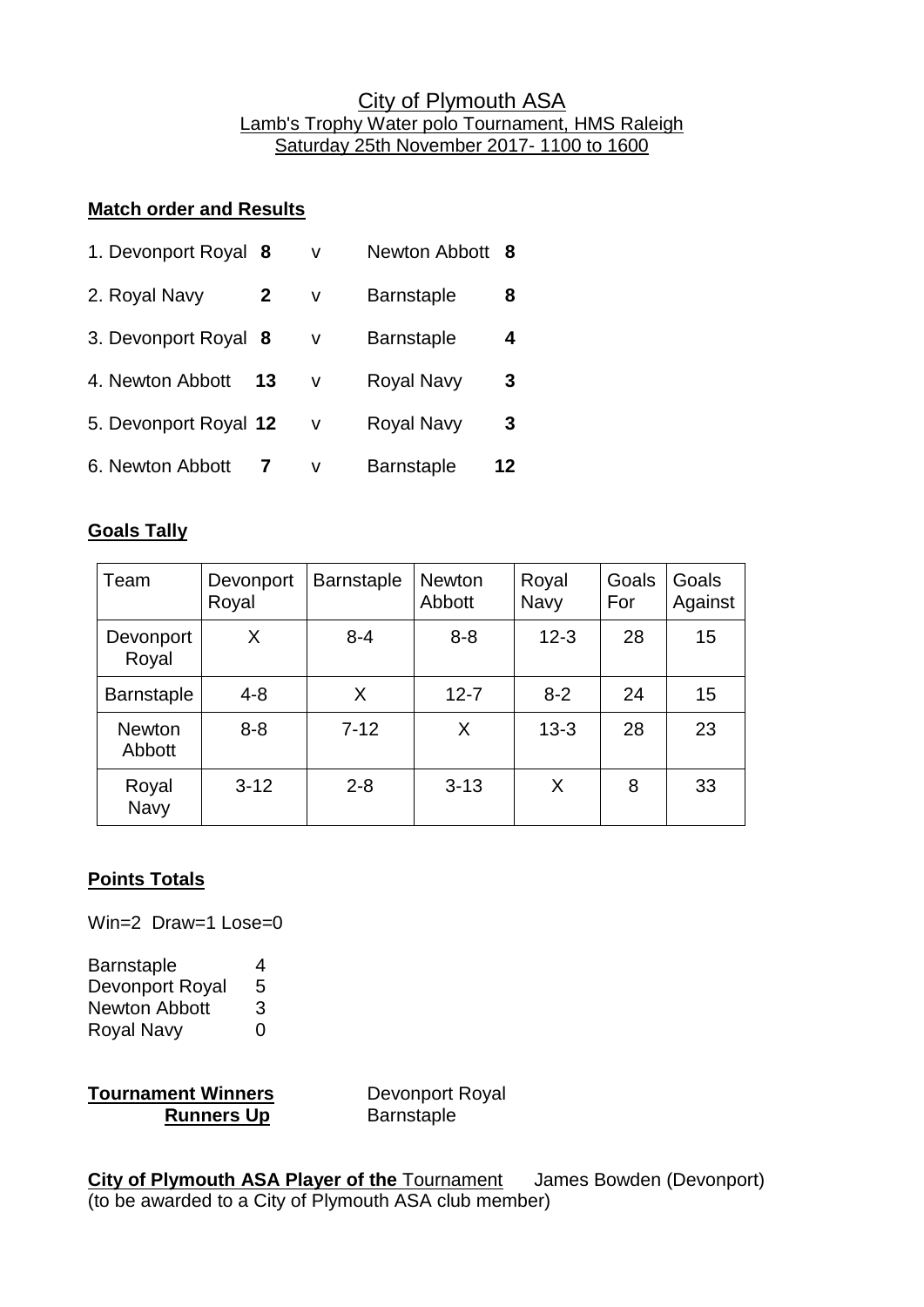## City of Plymouth ASA Lamb's Trophy Water polo Tournament, HMS Raleigh Saturday 25th November 2017- 1100 to 1600

## **Match order and Results**

| 1. Devonport Royal 8          | v      | Newton Abbott 8   |    |
|-------------------------------|--------|-------------------|----|
| 2. Royal Navy<br>$\mathbf{2}$ | v      | <b>Barnstaple</b> | 8  |
| 3. Devonport Royal 8          | v      | <b>Barnstaple</b> | 4  |
| 4. Newton Abbott<br>13        | $\vee$ | <b>Royal Navy</b> | 3  |
| 5. Devonport Royal 12         | V      | <b>Royal Navy</b> | 3  |
| 6. Newton Abbott              | v      | <b>Barnstaple</b> | 12 |

## **Goals Tally**

| Team                    | Devonport<br>Royal | <b>Barnstaple</b> | <b>Newton</b><br>Abbott | Royal<br><b>Navy</b> | Goals<br>For | Goals<br>Against |
|-------------------------|--------------------|-------------------|-------------------------|----------------------|--------------|------------------|
| Devonport<br>Royal      | X                  | $8 - 4$           | $8 - 8$                 | $12 - 3$             | 28           | 15               |
| <b>Barnstaple</b>       | $4 - 8$            | X                 | $12 - 7$                | $8 - 2$              | 24           | 15               |
| <b>Newton</b><br>Abbott | $8 - 8$            | $7 - 12$          | X                       | $13 - 3$             | 28           | 23               |
| Royal<br>Navy           | $3 - 12$           | $2 - 8$           | $3 - 13$                | X                    | 8            | 33               |

## **Points Totals**

Win=2 Draw=1 Lose=0

Barnstaple 4 Devonport Royal 5 Newton Abbott 3 Royal Navy 0

**Tournament Winners** Devonport Royal **Runners Up Barnstaple** 

**City of Plymouth ASA Player of the** Tournament James Bowden (Devonport) (to be awarded to a City of Plymouth ASA club member)